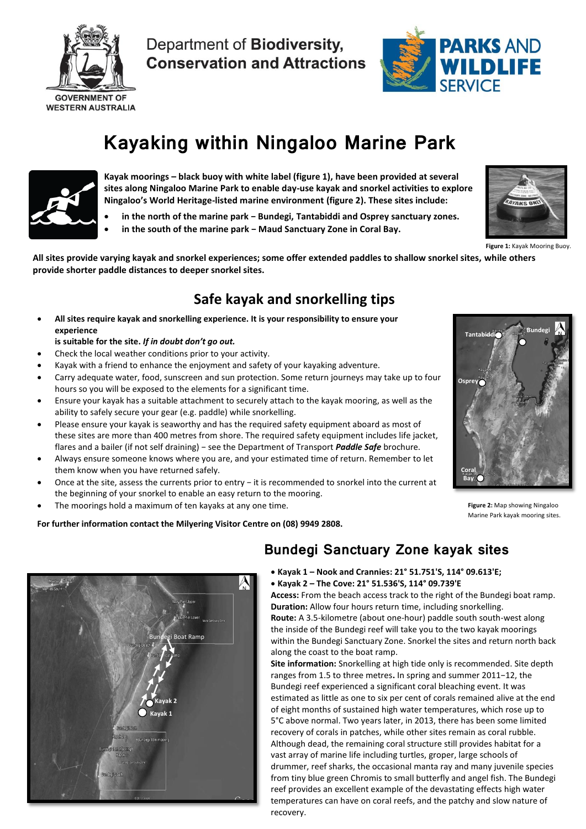

Department of Biodiversity, **Conservation and Attractions** 



# **Kayaking within Ningaloo Marine Park**



**Kayak moorings – black buoy with white label (figure 1), have been provided at several sites along Ningaloo Marine Park to enable day-use kayak and snorkel activities to explore Ningaloo's World Heritage-listed marine environment (figure 2). These sites include:**

- **in the north of the marine park − Bundegi, Tantabiddi and Osprey sanctuary zones.**
- **in the south of the marine park − Maud Sanctuary Zone in Coral Bay.**



**Figure 1:** Kayak Mooring Buoy.

**All sites provide varying kayak and snorkel experiences; some offer extended paddles to shallow snorkel sites, while others provide shorter paddle distances to deeper snorkel sites.**

# **Safe kayak and snorkelling tips**

 **All sites require kayak and snorkelling experience. It is your responsibility to ensure your experience** 

### **is suitable for the site.** *If in doubt don't go out.*

- Check the local weather conditions prior to your activity.
- Kayak with a friend to enhance the enjoyment and safety of your kayaking adventure.
- Carry adequate water, food, sunscreen and sun protection. Some return journeys may take up to four hours so you will be exposed to the elements for a significant time.
- Ensure your kayak has a suitable attachment to securely attach to the kayak mooring, as well as the ability to safely secure your gear (e.g. paddle) while snorkelling.
- Please ensure your kayak is seaworthy and has the required safety equipment aboard as most of these sites are more than 400 metres from shore. The required safety equipment includes life jacket, flares and a bailer (if not self draining) − see the Department of Transport *Paddle Safe* brochure.
- Always ensure someone knows where you are, and your estimated time of return. Remember to let them know when you have returned safely.
- Once at the site, assess the currents prior to entry − it is recommended to snorkel into the current at the beginning of your snorkel to enable an easy return to the mooring.
- The moorings hold a maximum of ten kayaks at any one time.

**For further information contact the Milyering Visitor Centre on (08) 9949 2808.**



**Figure 2:** Map showing Ningaloo Marine Park kayak mooring sites.



#### **Kayak 1 – Nook and Crannies: 21° 51.751'S, 114° 09.613'E; Kayak 2 – The Cove: 21° 51.536'S, 114° 09.739'E**

**Access:** From the beach access track to the right of the Bundegi boat ramp. **Duration:** Allow four hours return time, including snorkelling. **Route:** A 3.5-kilometre (about one-hour) paddle south south-west along the inside of the Bundegi reef will take you to the two kayak moorings within the Bundegi Sanctuary Zone. Snorkel the sites and return north back along the coast to the boat ramp.

**Site information:** Snorkelling at high tide only is recommended. Site depth ranges from 1.5 to three metres**.** In spring and summer 2011−12, the Bundegi reef experienced a significant coral bleaching event. It was estimated as little as one to six per cent of corals remained alive at the end of eight months of sustained high water temperatures, which rose up to 5°C above normal. Two years later, in 2013, there has been some limited recovery of corals in patches, while other sites remain as coral rubble. Although dead, the remaining coral structure still provides habitat for a vast array of marine life including turtles, groper, large schools of drummer, reef sharks, the occasional manta ray and many juvenile species from tiny blue green Chromis to small butterfly and angel fish. The Bundegi reef provides an excellent example of the devastating effects high water temperatures can have on coral reefs, and the patchy and slow nature of recovery.

**Bundegi Sanctuary Zone kayak sites**